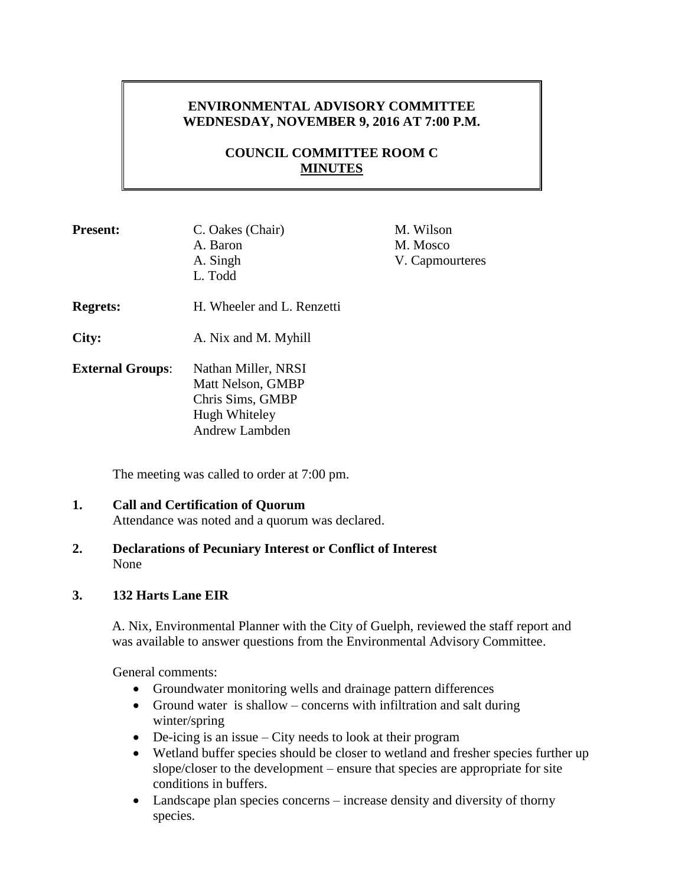# **ENVIRONMENTAL ADVISORY COMMITTEE WEDNESDAY, NOVEMBER 9, 2016 AT 7:00 P.M.**

# **COUNCIL COMMITTEE ROOM C MINUTES**

| <b>Present:</b>         | C. Oakes (Chair)<br>A. Baron<br>A. Singh<br>L. Todd                                                    | M. Wilson<br>M. Mosco<br>V. Capmourteres |
|-------------------------|--------------------------------------------------------------------------------------------------------|------------------------------------------|
| <b>Regrets:</b>         | H. Wheeler and L. Renzetti                                                                             |                                          |
| City:                   | A. Nix and M. Myhill                                                                                   |                                          |
| <b>External Groups:</b> | Nathan Miller, NRSI<br>Matt Nelson, GMBP<br>Chris Sims, GMBP<br>Hugh Whiteley<br><b>Andrew Lambden</b> |                                          |

The meeting was called to order at 7:00 pm.

## **1. Call and Certification of Quorum** Attendance was noted and a quorum was declared.

**2. Declarations of Pecuniary Interest or Conflict of Interest** None

### **3. 132 Harts Lane EIR**

A. Nix, Environmental Planner with the City of Guelph, reviewed the staff report and was available to answer questions from the Environmental Advisory Committee.

General comments:

- Groundwater monitoring wells and drainage pattern differences
- Ground water is shallow concerns with infiltration and salt during winter/spring
- De-icing is an issue City needs to look at their program
- Wetland buffer species should be closer to wetland and fresher species further up slope/closer to the development – ensure that species are appropriate for site conditions in buffers.
- Landscape plan species concerns increase density and diversity of thorny species.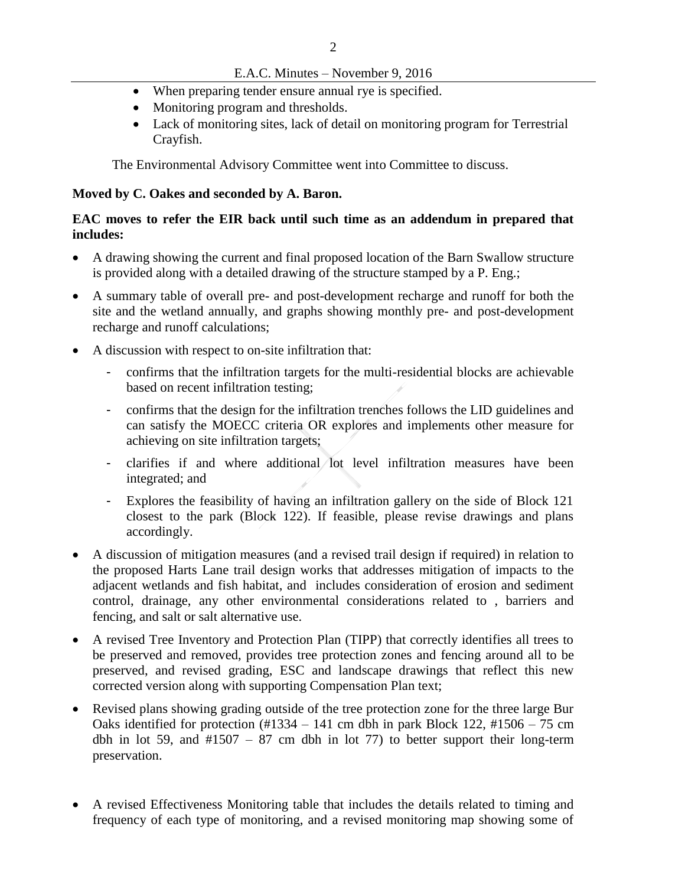## E.A.C. Minutes – November 9, 2016

- When preparing tender ensure annual rye is specified.
- Monitoring program and thresholds.
- Lack of monitoring sites, lack of detail on monitoring program for Terrestrial Crayfish.

The Environmental Advisory Committee went into Committee to discuss.

#### **Moved by C. Oakes and seconded by A. Baron.**

### **EAC moves to refer the EIR back until such time as an addendum in prepared that includes:**

- A drawing showing the current and final proposed location of the Barn Swallow structure is provided along with a detailed drawing of the structure stamped by a P. Eng.;
- A summary table of overall pre- and post-development recharge and runoff for both the site and the wetland annually, and graphs showing monthly pre- and post-development recharge and runoff calculations;
- A discussion with respect to on-site infiltration that:
	- confirms that the infiltration targets for the multi-residential blocks are achievable based on recent infiltration testing;
	- confirms that the design for the infiltration trenches follows the LID guidelines and can satisfy the MOECC criteria OR explores and implements other measure for achieving on site infiltration targets;
	- clarifies if and where additional lot level infiltration measures have been integrated; and
	- Explores the feasibility of having an infiltration gallery on the side of Block 121 closest to the park (Block 122). If feasible, please revise drawings and plans accordingly.
- A discussion of mitigation measures (and a revised trail design if required) in relation to the proposed Harts Lane trail design works that addresses mitigation of impacts to the adjacent wetlands and fish habitat, and includes consideration of erosion and sediment control, drainage, any other environmental considerations related to , barriers and fencing, and salt or salt alternative use.
- A revised Tree Inventory and Protection Plan (TIPP) that correctly identifies all trees to be preserved and removed, provides tree protection zones and fencing around all to be preserved, and revised grading, ESC and landscape drawings that reflect this new corrected version along with supporting Compensation Plan text;
- Revised plans showing grading outside of the tree protection zone for the three large Bur Oaks identified for protection  $(\text{\#}1334 - 141 \text{ cm}$  dbh in park Block 122,  $\text{\#}1506 - 75 \text{ cm}$ dbh in lot 59, and  $\#1507 - 87$  cm dbh in lot 77) to better support their long-term preservation.
- A revised Effectiveness Monitoring table that includes the details related to timing and frequency of each type of monitoring, and a revised monitoring map showing some of